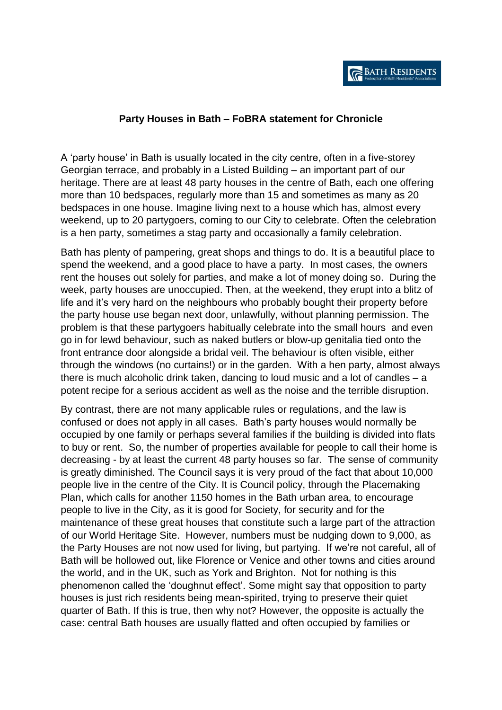## **Party Houses in Bath – FoBRA statement for Chronicle**

A 'party house' in Bath is usually located in the city centre, often in a five-storey Georgian terrace, and probably in a Listed Building – an important part of our heritage. There are at least 48 party houses in the centre of Bath, each one offering more than 10 bedspaces, regularly more than 15 and sometimes as many as 20 bedspaces in one house. Imagine living next to a house which has, almost every weekend, up to 20 partygoers, coming to our City to celebrate. Often the celebration is a hen party, sometimes a stag party and occasionally a family celebration.

Bath has plenty of pampering, great shops and things to do. It is a beautiful place to spend the weekend, and a good place to have a party. In most cases, the owners rent the houses out solely for parties, and make a lot of money doing so. During the week, party houses are unoccupied. Then, at the weekend, they erupt into a blitz of life and it's very hard on the neighbours who probably bought their property before the party house use began next door, unlawfully, without planning permission. The problem is that these partygoers habitually celebrate into the small hours and even go in for lewd behaviour, such as naked butlers or blow-up genitalia tied onto the front entrance door alongside a bridal veil. The behaviour is often visible, either through the windows (no curtains!) or in the garden. With a hen party, almost always there is much alcoholic drink taken, dancing to loud music and a lot of candles – a potent recipe for a serious accident as well as the noise and the terrible disruption.

By contrast, there are not many applicable rules or regulations, and the law is confused or does not apply in all cases. Bath's party houses would normally be occupied by one family or perhaps several families if the building is divided into flats to buy or rent. So, the number of properties available for people to call their home is decreasing - by at least the current 48 party houses so far. The sense of community is greatly diminished. The Council says it is very proud of the fact that about 10,000 people live in the centre of the City. It is Council policy, through the Placemaking Plan, which calls for another 1150 homes in the Bath urban area, to encourage people to live in the City, as it is good for Society, for security and for the maintenance of these great houses that constitute such a large part of the attraction of our World Heritage Site. However, numbers must be nudging down to 9,000, as the Party Houses are not now used for living, but partying. If we're not careful, all of Bath will be hollowed out, like Florence or Venice and other towns and cities around the world, and in the UK, such as York and Brighton. Not for nothing is this phenomenon called the 'doughnut effect'. Some might say that opposition to party houses is just rich residents being mean-spirited, trying to preserve their quiet quarter of Bath. If this is true, then why not? However, the opposite is actually the case: central Bath houses are usually flatted and often occupied by families or